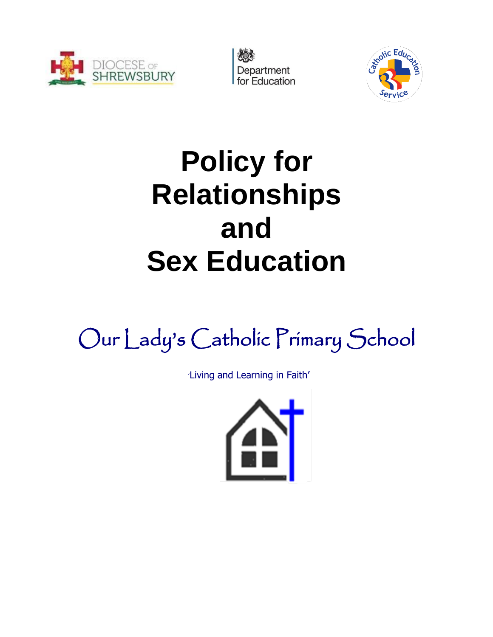





# **Policy for Relationships and Sex Education**

Our Lady's Catholic Primary School

'Living and Learning in Faith'

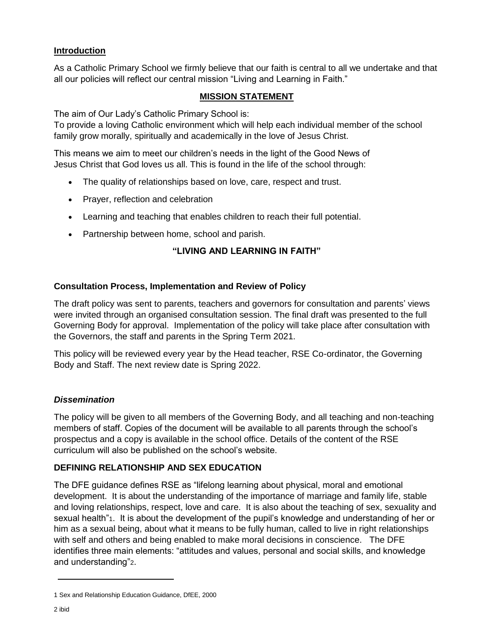# **Introduction**

As a Catholic Primary School we firmly believe that our faith is central to all we undertake and that all our policies will reflect our central mission "Living and Learning in Faith."

# **MISSION STATEMENT**

The aim of Our Lady's Catholic Primary School is:

To provide a loving Catholic environment which will help each individual member of the school family grow morally, spiritually and academically in the love of Jesus Christ.

This means we aim to meet our children's needs in the light of the Good News of Jesus Christ that God loves us all. This is found in the life of the school through:

- The quality of relationships based on love, care, respect and trust.
- Prayer, reflection and celebration
- Learning and teaching that enables children to reach their full potential.
- Partnership between home, school and parish.

# **"LIVING AND LEARNING IN FAITH"**

# **Consultation Process, Implementation and Review of Policy**

The draft policy was sent to parents, teachers and governors for consultation and parents' views were invited through an organised consultation session. The final draft was presented to the full Governing Body for approval. Implementation of the policy will take place after consultation with the Governors, the staff and parents in the Spring Term 2021.

This policy will be reviewed every year by the Head teacher, RSE Co-ordinator, the Governing Body and Staff. The next review date is Spring 2022.

# *Dissemination*

The policy will be given to all members of the Governing Body, and all teaching and non-teaching members of staff. Copies of the document will be available to all parents through the school's prospectus and a copy is available in the school office. Details of the content of the RSE curriculum will also be published on the school's website.

# **DEFINING RELATIONSHIP AND SEX EDUCATION**

The DFE guidance defines RSE as "lifelong learning about physical, moral and emotional development. It is about the understanding of the importance of marriage and family life, stable and loving relationships, respect, love and care. It is also about the teaching of sex, sexuality and sexual health"<sup>1</sup>. It is about the development of the pupil's knowledge and understanding of her or him as a sexual being, about what it means to be fully human, called to live in right relationships with self and others and being enabled to make moral decisions in conscience. The DFE identifies three main elements: "attitudes and values, personal and social skills, and knowledge and understanding"2.

<sup>1</sup> Sex and Relationship Education Guidance, DfEE, 2000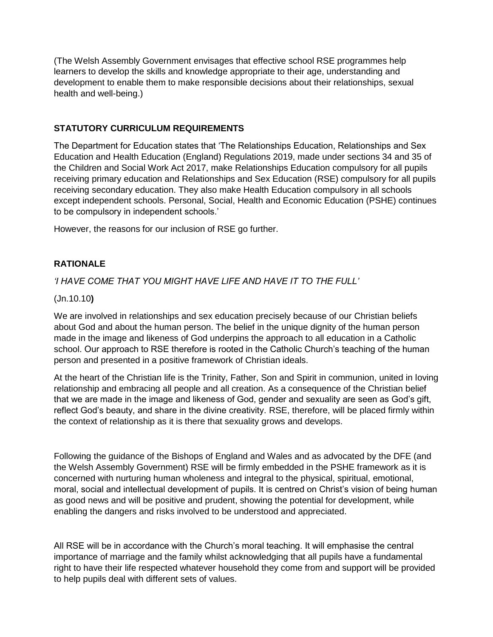(The Welsh Assembly Government envisages that effective school RSE programmes help learners to develop the skills and knowledge appropriate to their age, understanding and development to enable them to make responsible decisions about their relationships, sexual health and well-being.)

# **STATUTORY CURRICULUM REQUIREMENTS**

The Department for Education states that 'The Relationships Education, Relationships and Sex Education and Health Education (England) Regulations 2019, made under sections 34 and 35 of the Children and Social Work Act 2017, make Relationships Education compulsory for all pupils receiving primary education and Relationships and Sex Education (RSE) compulsory for all pupils receiving secondary education. They also make Health Education compulsory in all schools except independent schools. Personal, Social, Health and Economic Education (PSHE) continues to be compulsory in independent schools.'

However, the reasons for our inclusion of RSE go further.

# **RATIONALE**

*'I HAVE COME THAT YOU MIGHT HAVE LIFE AND HAVE IT TO THE FULL'*

(Jn.10.10**)**

We are involved in relationships and sex education precisely because of our Christian beliefs about God and about the human person. The belief in the unique dignity of the human person made in the image and likeness of God underpins the approach to all education in a Catholic school. Our approach to RSE therefore is rooted in the Catholic Church's teaching of the human person and presented in a positive framework of Christian ideals.

At the heart of the Christian life is the Trinity, Father, Son and Spirit in communion, united in loving relationship and embracing all people and all creation. As a consequence of the Christian belief that we are made in the image and likeness of God, gender and sexuality are seen as God's gift, reflect God's beauty, and share in the divine creativity. RSE, therefore, will be placed firmly within the context of relationship as it is there that sexuality grows and develops.

Following the guidance of the Bishops of England and Wales and as advocated by the DFE (and the Welsh Assembly Government) RSE will be firmly embedded in the PSHE framework as it is concerned with nurturing human wholeness and integral to the physical, spiritual, emotional, moral, social and intellectual development of pupils. It is centred on Christ's vision of being human as good news and will be positive and prudent, showing the potential for development, while enabling the dangers and risks involved to be understood and appreciated.

All RSE will be in accordance with the Church's moral teaching. It will emphasise the central importance of marriage and the family whilst acknowledging that all pupils have a fundamental right to have their life respected whatever household they come from and support will be provided to help pupils deal with different sets of values.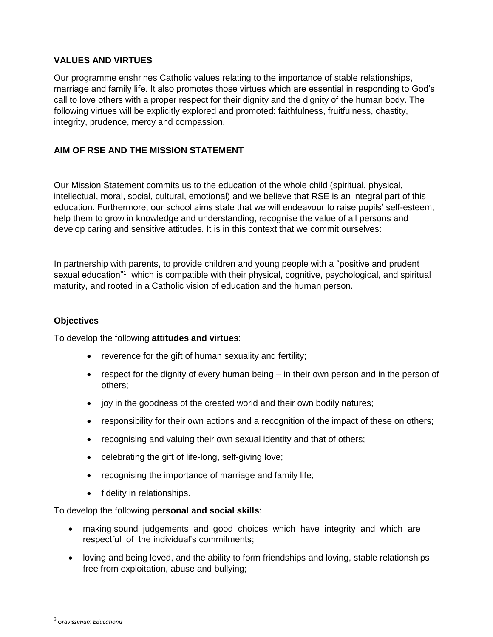# **VALUES AND VIRTUES**

Our programme enshrines Catholic values relating to the importance of stable relationships, marriage and family life. It also promotes those virtues which are essential in responding to God's call to love others with a proper respect for their dignity and the dignity of the human body. The following virtues will be explicitly explored and promoted: faithfulness, fruitfulness, chastity, integrity, prudence, mercy and compassion.

# **AIM OF RSE AND THE MISSION STATEMENT**

Our Mission Statement commits us to the education of the whole child (spiritual, physical, intellectual, moral, social, cultural, emotional) and we believe that RSE is an integral part of this education. Furthermore, our school aims state that we will endeavour to raise pupils' self-esteem, help them to grow in knowledge and understanding, recognise the value of all persons and develop caring and sensitive attitudes. It is in this context that we commit ourselves:

In partnership with parents, to provide children and young people with a "positive and prudent sexual education"<sup>1</sup> which is compatible with their physical, cognitive, psychological, and spiritual maturity, and rooted in a Catholic vision of education and the human person.

# **Objectives**

To develop the following **attitudes and virtues**:

- reverence for the gift of human sexuality and fertility;
- respect for the dignity of every human being in their own person and in the person of others;
- joy in the goodness of the created world and their own bodily natures;
- responsibility for their own actions and a recognition of the impact of these on others;
- recognising and valuing their own sexual identity and that of others;
- celebrating the gift of life-long, self-giving love;
- recognising the importance of marriage and family life;
- fidelity in relationships.

# To develop the following **personal and social skills**:

- making sound judgements and good choices which have integrity and which are respectful of the individual's commitments;
- loving and being loved, and the ability to form friendships and loving, stable relationships free from exploitation, abuse and bullying;

 $\overline{a}$ 

<sup>3</sup>*Gravissimum Educationis*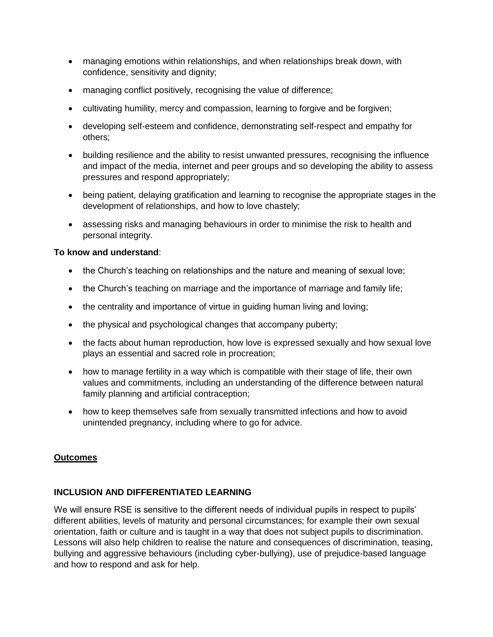- managing emotions within relationships, and when relationships break down, with confidence, sensitivity and dignity;
- managing conflict positively, recognising the value of difference;
- cultivating humility, mercy and compassion, learning to forgive and be forgiven;
- developing self-esteem and confidence, demonstrating self-respect and empathy for others;
- building resilience and the ability to resist unwanted pressures, recognising the influence and impact of the media, internet and peer groups and so developing the ability to assess pressures and respond appropriately;
- being patient, delaying gratification and learning to recognise the appropriate stages in the development of relationships, and how to love chastely;
- assessing risks and managing behaviours in order to minimise the risk to health and personal integrity.

# **To know and understand**:

- the Church's teaching on relationships and the nature and meaning of sexual love;
- the Church's teaching on marriage and the importance of marriage and family life;
- the centrality and importance of virtue in quiding human living and loving;
- the physical and psychological changes that accompany puberty;
- the facts about human reproduction, how love is expressed sexually and how sexual love plays an essential and sacred role in procreation;
- how to manage fertility in a way which is compatible with their stage of life, their own values and commitments, including an understanding of the difference between natural family planning and artificial contraception;
- how to keep themselves safe from sexually transmitted infections and how to avoid unintended pregnancy, including where to go for advice.

# **Outcomes**

# **INCLUSION AND DIFFERENTIATED LEARNING**

We will ensure RSE is sensitive to the different needs of individual pupils in respect to pupils' different abilities, levels of maturity and personal circumstances; for example their own sexual orientation, faith or culture and is taught in a way that does not subject pupils to discrimination. Lessons will also help children to realise the nature and consequences of discrimination, teasing, bullying and aggressive behaviours (including cyber-bullying), use of prejudice-based language and how to respond and ask for help.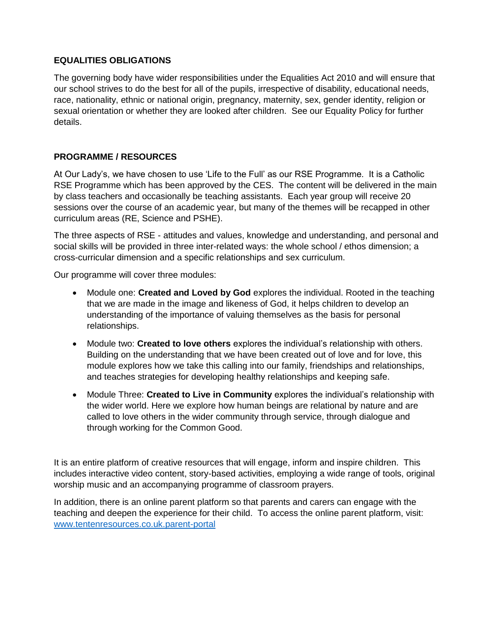# **EQUALITIES OBLIGATIONS**

The governing body have wider responsibilities under the Equalities Act 2010 and will ensure that our school strives to do the best for all of the pupils, irrespective of disability, educational needs, race, nationality, ethnic or national origin, pregnancy, maternity, sex, gender identity, religion or sexual orientation or whether they are looked after children. See our Equality Policy for further details.

# **PROGRAMME / RESOURCES**

At Our Lady's, we have chosen to use 'Life to the Full' as our RSE Programme. It is a Catholic RSE Programme which has been approved by the CES. The content will be delivered in the main by class teachers and occasionally be teaching assistants. Each year group will receive 20 sessions over the course of an academic year, but many of the themes will be recapped in other curriculum areas (RE, Science and PSHE).

The three aspects of RSE - attitudes and values, knowledge and understanding, and personal and social skills will be provided in three inter-related ways: the whole school / ethos dimension; a cross-curricular dimension and a specific relationships and sex curriculum.

Our programme will cover three modules:

- Module one: **Created and Loved by God** explores the individual. Rooted in the teaching that we are made in the image and likeness of God, it helps children to develop an understanding of the importance of valuing themselves as the basis for personal relationships.
- Module two: **Created to love others** explores the individual's relationship with others. Building on the understanding that we have been created out of love and for love, this module explores how we take this calling into our family, friendships and relationships, and teaches strategies for developing healthy relationships and keeping safe.
- Module Three: **Created to Live in Community** explores the individual's relationship with the wider world. Here we explore how human beings are relational by nature and are called to love others in the wider community through service, through dialogue and through working for the Common Good.

It is an entire platform of creative resources that will engage, inform and inspire children. This includes interactive video content, story-based activities, employing a wide range of tools, original worship music and an accompanying programme of classroom prayers.

In addition, there is an online parent platform so that parents and carers can engage with the teaching and deepen the experience for their child. To access the online parent platform, visit: [www.tentenresources.co.uk.parent-portal](http://www.tentenresources.co.uk.parent-portal/)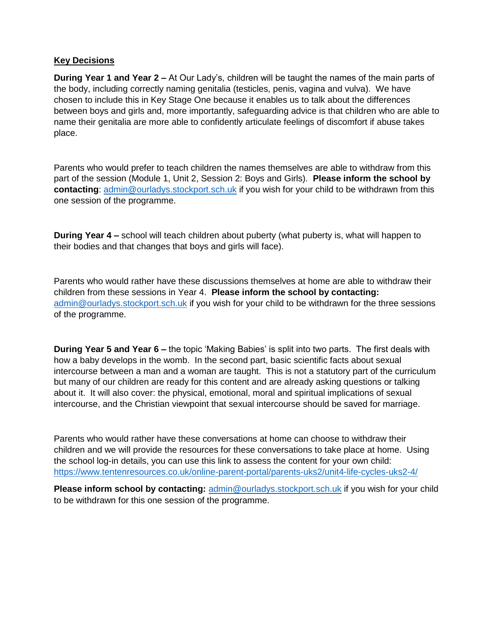# **Key Decisions**

**During Year 1 and Year 2 –** At Our Lady's, children will be taught the names of the main parts of the body, including correctly naming genitalia (testicles, penis, vagina and vulva). We have chosen to include this in Key Stage One because it enables us to talk about the differences between boys and girls and, more importantly, safeguarding advice is that children who are able to name their genitalia are more able to confidently articulate feelings of discomfort if abuse takes place.

Parents who would prefer to teach children the names themselves are able to withdraw from this part of the session (Module 1, Unit 2, Session 2: Boys and Girls). **Please inform the school by contacting**: [admin@ourladys.stockport.sch.uk](mailto:admin@ourladys.stockport.sch.uk) if you wish for your child to be withdrawn from this one session of the programme.

**During Year 4 –** school will teach children about puberty (what puberty is, what will happen to their bodies and that changes that boys and girls will face).

Parents who would rather have these discussions themselves at home are able to withdraw their children from these sessions in Year 4. **Please inform the school by contacting:**  [admin@ourladys.stockport.sch.uk](mailto:admin@ourladys.stockport.sch.uk) if you wish for your child to be withdrawn for the three sessions of the programme.

**During Year 5 and Year 6 –** the topic 'Making Babies' is split into two parts. The first deals with how a baby develops in the womb. In the second part, basic scientific facts about sexual intercourse between a man and a woman are taught. This is not a statutory part of the curriculum but many of our children are ready for this content and are already asking questions or talking about it. It will also cover: the physical, emotional, moral and spiritual implications of sexual intercourse, and the Christian viewpoint that sexual intercourse should be saved for marriage.

Parents who would rather have these conversations at home can choose to withdraw their children and we will provide the resources for these conversations to take place at home. Using the school log-in details, you can use this link to assess the content for your own child: <https://www.tentenresources.co.uk/online-parent-portal/parents-uks2/unit4-life-cycles-uks2-4/>

**Please inform school by contacting:** [admin@ourladys.stockport.sch.uk](mailto:admin@ourladys.stockport.sch.uk) if you wish for your child to be withdrawn for this one session of the programme.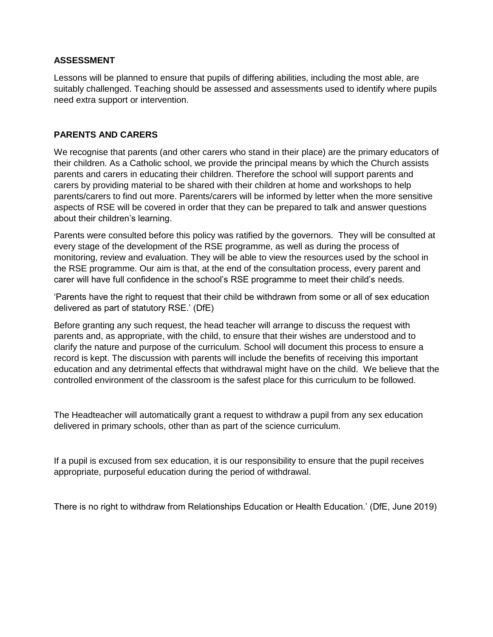# **ASSESSMENT**

Lessons will be planned to ensure that pupils of differing abilities, including the most able, are suitably challenged. Teaching should be assessed and assessments used to identify where pupils need extra support or intervention.

# **PARENTS AND CARERS**

We recognise that parents (and other carers who stand in their place) are the primary educators of their children. As a Catholic school, we provide the principal means by which the Church assists parents and carers in educating their children. Therefore the school will support parents and carers by providing material to be shared with their children at home and workshops to help parents/carers to find out more. Parents/carers will be informed by letter when the more sensitive aspects of RSE will be covered in order that they can be prepared to talk and answer questions about their children's learning.

Parents were consulted before this policy was ratified by the governors. They will be consulted at every stage of the development of the RSE programme, as well as during the process of monitoring, review and evaluation. They will be able to view the resources used by the school in the RSE programme. Our aim is that, at the end of the consultation process, every parent and carer will have full confidence in the school's RSE programme to meet their child's needs.

'Parents have the right to request that their child be withdrawn from some or all of sex education delivered as part of statutory RSE.' (DfE)

Before granting any such request, the head teacher will arrange to discuss the request with parents and, as appropriate, with the child, to ensure that their wishes are understood and to clarify the nature and purpose of the curriculum. School will document this process to ensure a record is kept. The discussion with parents will include the benefits of receiving this important education and any detrimental effects that withdrawal might have on the child. We believe that the controlled environment of the classroom is the safest place for this curriculum to be followed.

The Headteacher will automatically grant a request to withdraw a pupil from any sex education delivered in primary schools, other than as part of the science curriculum.

If a pupil is excused from sex education, it is our responsibility to ensure that the pupil receives appropriate, purposeful education during the period of withdrawal.

There is no right to withdraw from Relationships Education or Health Education.' (DfE, June 2019)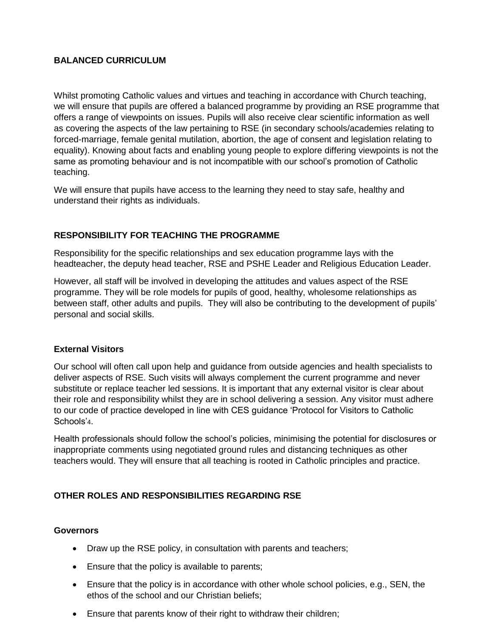# **BALANCED CURRICULUM**

Whilst promoting Catholic values and virtues and teaching in accordance with Church teaching, we will ensure that pupils are offered a balanced programme by providing an RSE programme that offers a range of viewpoints on issues. Pupils will also receive clear scientific information as well as covering the aspects of the law pertaining to RSE (in secondary schools/academies relating to forced-marriage, female genital mutilation, abortion, the age of consent and legislation relating to equality). Knowing about facts and enabling young people to explore differing viewpoints is not the same as promoting behaviour and is not incompatible with our school's promotion of Catholic teaching.

We will ensure that pupils have access to the learning they need to stay safe, healthy and understand their rights as individuals.

# **RESPONSIBILITY FOR TEACHING THE PROGRAMME**

Responsibility for the specific relationships and sex education programme lays with the headteacher, the deputy head teacher, RSE and PSHE Leader and Religious Education Leader.

However, all staff will be involved in developing the attitudes and values aspect of the RSE programme. They will be role models for pupils of good, healthy, wholesome relationships as between staff, other adults and pupils. They will also be contributing to the development of pupils' personal and social skills.

# **External Visitors**

Our school will often call upon help and guidance from outside agencies and health specialists to deliver aspects of RSE. Such visits will always complement the current programme and never substitute or replace teacher led sessions. It is important that any external visitor is clear about their role and responsibility whilst they are in school delivering a session. Any visitor must adhere to our code of practice developed in line with CES guidance 'Protocol for Visitors to Catholic Schools'4.

Health professionals should follow the school's policies, minimising the potential for disclosures or inappropriate comments using negotiated ground rules and distancing techniques as other teachers would. They will ensure that all teaching is rooted in Catholic principles and practice.

# **OTHER ROLES AND RESPONSIBILITIES REGARDING RSE**

## **Governors**

- Draw up the RSE policy, in consultation with parents and teachers;
- **Ensure that the policy is available to parents;**
- Ensure that the policy is in accordance with other whole school policies, e.g., SEN, the ethos of the school and our Christian beliefs;
- Ensure that parents know of their right to withdraw their children;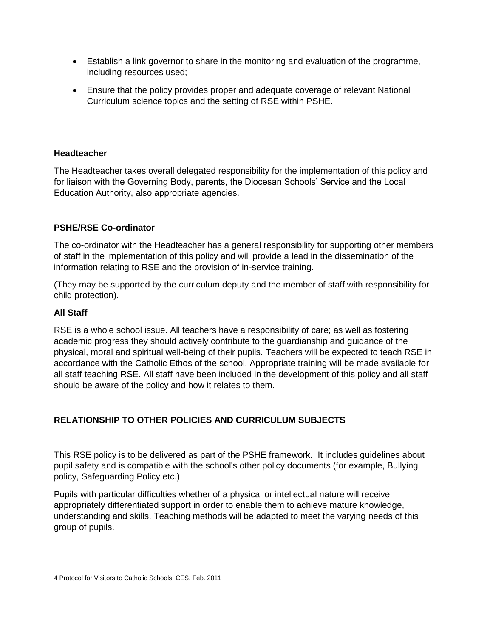- Establish a link governor to share in the monitoring and evaluation of the programme, including resources used;
- Ensure that the policy provides proper and adequate coverage of relevant National Curriculum science topics and the setting of RSE within PSHE.

# **Headteacher**

The Headteacher takes overall delegated responsibility for the implementation of this policy and for liaison with the Governing Body, parents, the Diocesan Schools' Service and the Local Education Authority, also appropriate agencies.

# **PSHE/RSE Co-ordinator**

The co-ordinator with the Headteacher has a general responsibility for supporting other members of staff in the implementation of this policy and will provide a lead in the dissemination of the information relating to RSE and the provision of in-service training.

(They may be supported by the curriculum deputy and the member of staff with responsibility for child protection).

# **All Staff**

RSE is a whole school issue. All teachers have a responsibility of care; as well as fostering academic progress they should actively contribute to the guardianship and guidance of the physical, moral and spiritual well-being of their pupils. Teachers will be expected to teach RSE in accordance with the Catholic Ethos of the school. Appropriate training will be made available for all staff teaching RSE. All staff have been included in the development of this policy and all staff should be aware of the policy and how it relates to them.

# **RELATIONSHIP TO OTHER POLICIES AND CURRICULUM SUBJECTS**

This RSE policy is to be delivered as part of the PSHE framework. It includes guidelines about pupil safety and is compatible with the school's other policy documents (for example, Bullying policy, Safeguarding Policy etc.)

Pupils with particular difficulties whether of a physical or intellectual nature will receive appropriately differentiated support in order to enable them to achieve mature knowledge, understanding and skills. Teaching methods will be adapted to meet the varying needs of this group of pupils.

<sup>4</sup> Protocol for Visitors to Catholic Schools, CES, Feb. 2011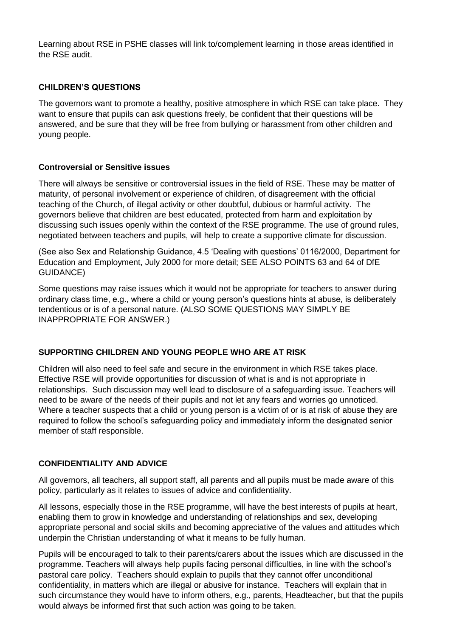Learning about RSE in PSHE classes will link to/complement learning in those areas identified in the RSE audit.

# **CHILDREN'S QUESTIONS**

The governors want to promote a healthy, positive atmosphere in which RSE can take place. They want to ensure that pupils can ask questions freely, be confident that their questions will be answered, and be sure that they will be free from bullying or harassment from other children and young people.

# **Controversial or Sensitive issues**

There will always be sensitive or controversial issues in the field of RSE. These may be matter of maturity, of personal involvement or experience of children, of disagreement with the official teaching of the Church, of illegal activity or other doubtful, dubious or harmful activity. The governors believe that children are best educated, protected from harm and exploitation by discussing such issues openly within the context of the RSE programme. The use of ground rules, negotiated between teachers and pupils, will help to create a supportive climate for discussion.

(See also Sex and Relationship Guidance, 4.5 'Dealing with questions' 0116/2000, Department for Education and Employment, July 2000 for more detail; SEE ALSO POINTS 63 and 64 of DfE GUIDANCE)

Some questions may raise issues which it would not be appropriate for teachers to answer during ordinary class time, e.g., where a child or young person's questions hints at abuse, is deliberately tendentious or is of a personal nature. (ALSO SOME QUESTIONS MAY SIMPLY BE INAPPROPRIATE FOR ANSWER.)

# **SUPPORTING CHILDREN AND YOUNG PEOPLE WHO ARE AT RISK**

Children will also need to feel safe and secure in the environment in which RSE takes place. Effective RSE will provide opportunities for discussion of what is and is not appropriate in relationships. Such discussion may well lead to disclosure of a safeguarding issue. Teachers will need to be aware of the needs of their pupils and not let any fears and worries go unnoticed. Where a teacher suspects that a child or young person is a victim of or is at risk of abuse they are required to follow the school's safeguarding policy and immediately inform the designated senior member of staff responsible.

# **CONFIDENTIALITY AND ADVICE**

All governors, all teachers, all support staff, all parents and all pupils must be made aware of this policy, particularly as it relates to issues of advice and confidentiality.

All lessons, especially those in the RSE programme, will have the best interests of pupils at heart, enabling them to grow in knowledge and understanding of relationships and sex, developing appropriate personal and social skills and becoming appreciative of the values and attitudes which underpin the Christian understanding of what it means to be fully human.

Pupils will be encouraged to talk to their parents/carers about the issues which are discussed in the programme. Teachers will always help pupils facing personal difficulties, in line with the school's pastoral care policy. Teachers should explain to pupils that they cannot offer unconditional confidentiality, in matters which are illegal or abusive for instance. Teachers will explain that in such circumstance they would have to inform others, e.g., parents, Headteacher, but that the pupils would always be informed first that such action was going to be taken.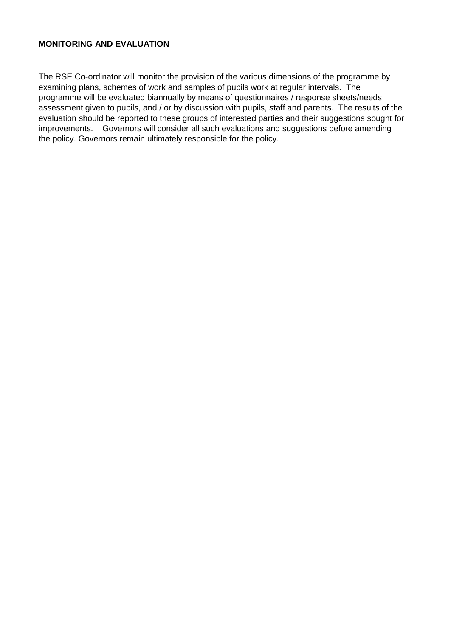# **MONITORING AND EVALUATION**

The RSE Co-ordinator will monitor the provision of the various dimensions of the programme by examining plans, schemes of work and samples of pupils work at regular intervals. The programme will be evaluated biannually by means of questionnaires / response sheets/needs assessment given to pupils, and / or by discussion with pupils, staff and parents. The results of the evaluation should be reported to these groups of interested parties and their suggestions sought for improvements. Governors will consider all such evaluations and suggestions before amending the policy. Governors remain ultimately responsible for the policy.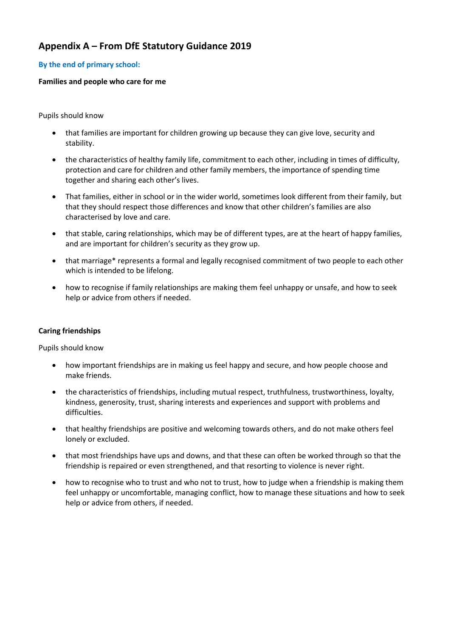# **Appendix A – From DfE Statutory Guidance 2019**

## **By the end of primary school:**

#### **Families and people who care for me**

#### Pupils should know

- that families are important for children growing up because they can give love, security and stability.
- the characteristics of healthy family life, commitment to each other, including in times of difficulty, protection and care for children and other family members, the importance of spending time together and sharing each other's lives.
- That families, either in school or in the wider world, sometimes look different from their family, but that they should respect those differences and know that other children's families are also characterised by love and care.
- that stable, caring relationships, which may be of different types, are at the heart of happy families, and are important for children's security as they grow up.
- that marriage\* represents a formal and legally recognised commitment of two people to each other which is intended to be lifelong.
- how to recognise if family relationships are making them feel unhappy or unsafe, and how to seek help or advice from others if needed.

#### **Caring friendships**

- how important friendships are in making us feel happy and secure, and how people choose and make friends.
- the characteristics of friendships, including mutual respect, truthfulness, trustworthiness, loyalty, kindness, generosity, trust, sharing interests and experiences and support with problems and difficulties.
- that healthy friendships are positive and welcoming towards others, and do not make others feel lonely or excluded.
- that most friendships have ups and downs, and that these can often be worked through so that the friendship is repaired or even strengthened, and that resorting to violence is never right.
- how to recognise who to trust and who not to trust, how to judge when a friendship is making them feel unhappy or uncomfortable, managing conflict, how to manage these situations and how to seek help or advice from others, if needed.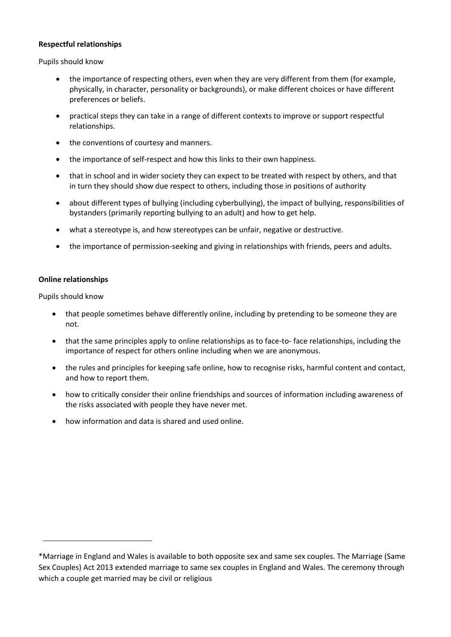## **Respectful relationships**

## Pupils should know

- the importance of respecting others, even when they are very different from them (for example, physically, in character, personality or backgrounds), or make different choices or have different preferences or beliefs.
- practical steps they can take in a range of different contexts to improve or support respectful relationships.
- the conventions of courtesy and manners.
- the importance of self-respect and how this links to their own happiness.
- that in school and in wider society they can expect to be treated with respect by others, and that in turn they should show due respect to others, including those in positions of authority
- about different types of bullying (including cyberbullying), the impact of bullying, responsibilities of bystanders (primarily reporting bullying to an adult) and how to get help.
- what a stereotype is, and how stereotypes can be unfair, negative or destructive.
- the importance of permission-seeking and giving in relationships with friends, peers and adults.

# **Online relationships**

- that people sometimes behave differently online, including by pretending to be someone they are not.
- that the same principles apply to online relationships as to face-to- face relationships, including the importance of respect for others online including when we are anonymous.
- the rules and principles for keeping safe online, how to recognise risks, harmful content and contact, and how to report them.
- how to critically consider their online friendships and sources of information including awareness of the risks associated with people they have never met.
- how information and data is shared and used online.

<sup>\*</sup>Marriage in England and Wales is available to both opposite sex and same sex couples. The Marriage (Same Sex Couples) Act 2013 extended marriage to same sex couples in England and Wales. The ceremony through which a couple get married may be civil or religious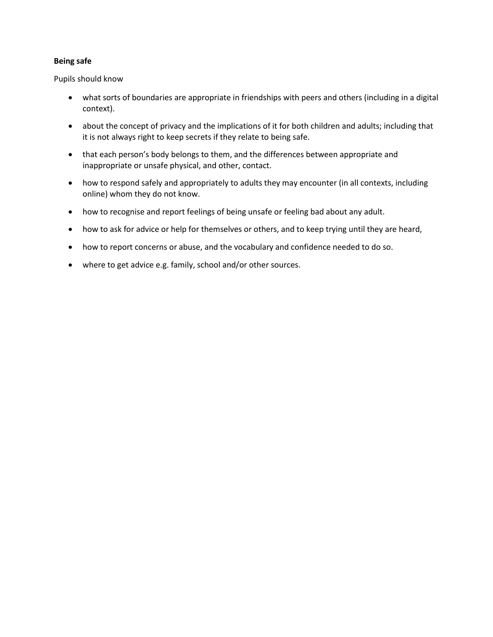#### **Being safe**

- what sorts of boundaries are appropriate in friendships with peers and others (including in a digital context).
- about the concept of privacy and the implications of it for both children and adults; including that it is not always right to keep secrets if they relate to being safe.
- that each person's body belongs to them, and the differences between appropriate and inappropriate or unsafe physical, and other, contact.
- how to respond safely and appropriately to adults they may encounter (in all contexts, including online) whom they do not know.
- how to recognise and report feelings of being unsafe or feeling bad about any adult.
- how to ask for advice or help for themselves or others, and to keep trying until they are heard,
- how to report concerns or abuse, and the vocabulary and confidence needed to do so.
- where to get advice e.g. family, school and/or other sources.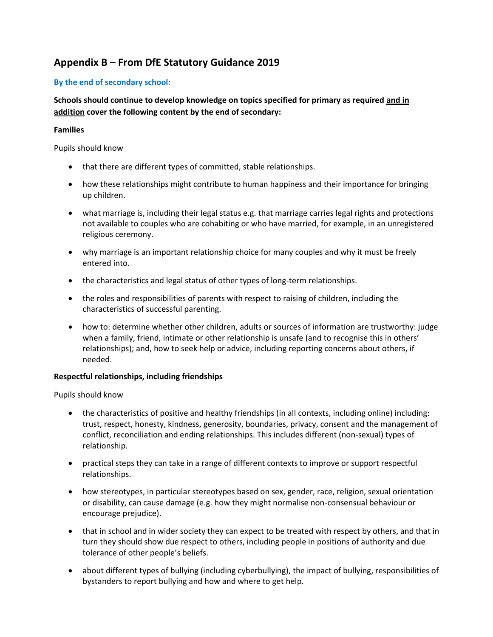# **Appendix B – From DfE Statutory Guidance 2019**

## **By the end of secondary school:**

**Schools should continue to develop knowledge on topics specified for primary as required and in addition cover the following content by the end of secondary:**

## **Families**

Pupils should know

- that there are different types of committed, stable relationships.
- how these relationships might contribute to human happiness and their importance for bringing up children.
- what marriage is, including their legal status e.g. that marriage carries legal rights and protections not available to couples who are cohabiting or who have married, for example, in an unregistered religious ceremony.
- why marriage is an important relationship choice for many couples and why it must be freely entered into.
- the characteristics and legal status of other types of long-term relationships.
- the roles and responsibilities of parents with respect to raising of children, including the characteristics of successful parenting.
- how to: determine whether other children, adults or sources of information are trustworthy: judge when a family, friend, intimate or other relationship is unsafe (and to recognise this in others' relationships); and, how to seek help or advice, including reporting concerns about others, if needed.

# **Respectful relationships, including friendships**

- the characteristics of positive and healthy friendships (in all contexts, including online) including: trust, respect, honesty, kindness, generosity, boundaries, privacy, consent and the management of conflict, reconciliation and ending relationships. This includes different (non-sexual) types of relationship.
- practical steps they can take in a range of different contexts to improve or support respectful relationships.
- how stereotypes, in particular stereotypes based on sex, gender, race, religion, sexual orientation or disability, can cause damage (e.g. how they might normalise non-consensual behaviour or encourage prejudice).
- that in school and in wider society they can expect to be treated with respect by others, and that in turn they should show due respect to others, including people in positions of authority and due tolerance of other people's beliefs.
- about different types of bullying (including cyberbullying), the impact of bullying, responsibilities of bystanders to report bullying and how and where to get help.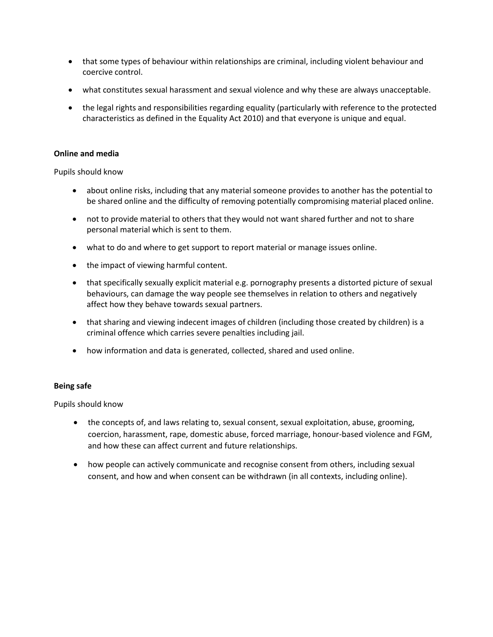- that some types of behaviour within relationships are criminal, including violent behaviour and coercive control.
- what constitutes sexual harassment and sexual violence and why these are always unacceptable.
- the legal rights and responsibilities regarding equality (particularly with reference to the protected characteristics as defined in the Equality Act 2010) and that everyone is unique and equal.

#### **Online and media**

#### Pupils should know

- about online risks, including that any material someone provides to another has the potential to be shared online and the difficulty of removing potentially compromising material placed online.
- not to provide material to others that they would not want shared further and not to share personal material which is sent to them.
- what to do and where to get support to report material or manage issues online.
- the impact of viewing harmful content.
- that specifically sexually explicit material e.g. pornography presents a distorted picture of sexual behaviours, can damage the way people see themselves in relation to others and negatively affect how they behave towards sexual partners.
- that sharing and viewing indecent images of children (including those created by children) is a criminal offence which carries severe penalties including jail.
- how information and data is generated, collected, shared and used online.

#### **Being safe**

- the concepts of, and laws relating to, sexual consent, sexual exploitation, abuse, grooming, coercion, harassment, rape, domestic abuse, forced marriage, honour-based violence and FGM, and how these can affect current and future relationships.
- how people can actively communicate and recognise consent from others, including sexual consent, and how and when consent can be withdrawn (in all contexts, including online).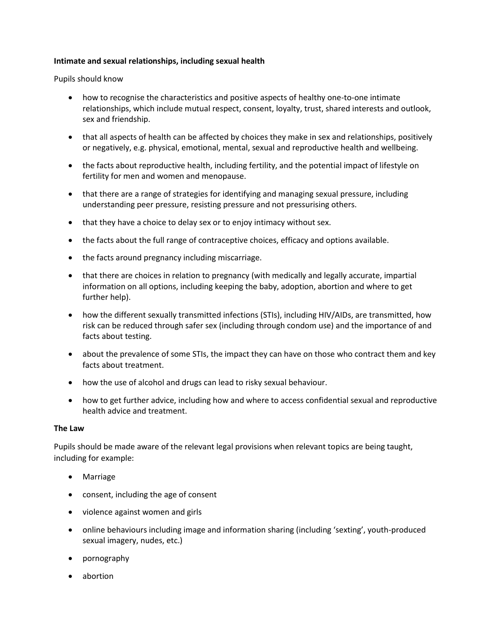## **Intimate and sexual relationships, including sexual health**

Pupils should know

- how to recognise the characteristics and positive aspects of healthy one-to-one intimate relationships, which include mutual respect, consent, loyalty, trust, shared interests and outlook, sex and friendship.
- that all aspects of health can be affected by choices they make in sex and relationships, positively or negatively, e.g. physical, emotional, mental, sexual and reproductive health and wellbeing.
- the facts about reproductive health, including fertility, and the potential impact of lifestyle on fertility for men and women and menopause.
- that there are a range of strategies for identifying and managing sexual pressure, including understanding peer pressure, resisting pressure and not pressurising others.
- that they have a choice to delay sex or to enjoy intimacy without sex.
- the facts about the full range of contraceptive choices, efficacy and options available.
- the facts around pregnancy including miscarriage.
- that there are choices in relation to pregnancy (with medically and legally accurate, impartial information on all options, including keeping the baby, adoption, abortion and where to get further help).
- how the different sexually transmitted infections (STIs), including HIV/AIDs, are transmitted, how risk can be reduced through safer sex (including through condom use) and the importance of and facts about testing.
- about the prevalence of some STIs, the impact they can have on those who contract them and key facts about treatment.
- how the use of alcohol and drugs can lead to risky sexual behaviour.
- how to get further advice, including how and where to access confidential sexual and reproductive health advice and treatment.

#### **The Law**

Pupils should be made aware of the relevant legal provisions when relevant topics are being taught, including for example:

- Marriage
- consent, including the age of consent
- violence against women and girls
- online behaviours including image and information sharing (including 'sexting', youth-produced sexual imagery, nudes, etc.)
- pornography
- abortion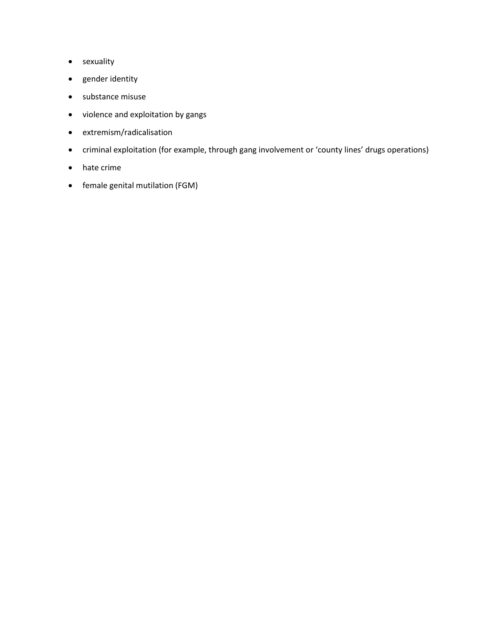- sexuality
- gender identity
- substance misuse
- violence and exploitation by gangs
- extremism/radicalisation
- criminal exploitation (for example, through gang involvement or 'county lines' drugs operations)
- hate crime
- female genital mutilation (FGM)